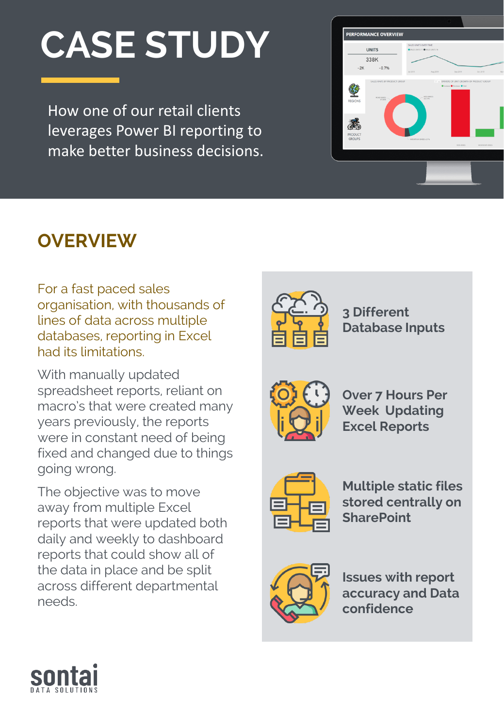# **CASE STUDY**

How one of our retail clients leverages Power BI reporting to make better business decisions.



# **OVERVIEW**

For a fast paced sales organisation, with thousands of lines of data across multiple databases, reporting in Excel had its limitations.

With manually updated spreadsheet reports, reliant on macro's that were created many years previously, the reports were in constant need of being fixed and changed due to things going wrong.

The objective was to move away from multiple Excel reports that were updated both daily and weekly to dashboard reports that could show all of the data in place and be split across different departmental needs.



**3 Different Database Inputs**



**Over 7 Hours Per Week Updating Excel Reports**



**Multiple static files stored centrally on SharePoint**



**Issues with report accuracy and Data confidence**